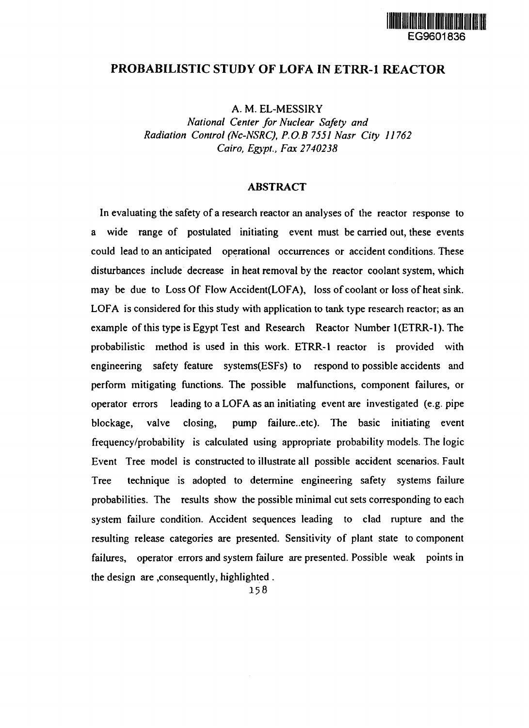

# **PROBABILISTIC STUDY OF LOFA IN ETRR-1 REACTOR**

**A. M. EL-MESSIRY**

*National Center for Nuclear Safety and Radiation Control (Nc-NSRC), P.O.B 7551 Nasr City 11762 Cairo, Egypt., Fax 2740238*

### **ABSTRACT**

**In evaluating the safety of a research reactor an analyses of the reactor response to a wide range of postulated initiating event must be carried out, these events could lead to an anticipated operational occurrences or accident conditions. These disturbances include decrease in heat removal by the reactor coolant system, which may be due to Loss Of Flow Accident(LOFA), loss of coolant or loss of heat sink. LOFA is considered for this study with application to tank type research reactor; as an** example of this type is Egypt Test and Research Reactor Number 1(ETRR-1). The **probabilistic method is used in this work. ETRR-1 reactor is provided with engineering safety feature systems(ESFs) to respond to possible accidents and perform mitigating functions. The possible malfunctions, component failures, or operator errors leading to a LOFA as an initiating event are investigated (e.g. pipe** blockage, valve closing, pump failure..etc). The basic initiating event **frequency/probability is calculated using appropriate probability models. The logic Event Tree model is constructed to illustrate all possible accident scenarios. Fault Tree technique is adopted to determine engineering safety systems failure probabilities. The results show the possible minimal cut sets corresponding to each system failure condition. Accident sequences leading to clad rupture and the resulting release categories are presented. Sensitivity of plant state to component failures, operator errors and system failure are presented. Possible weak points in the design are consequently, highlighted .**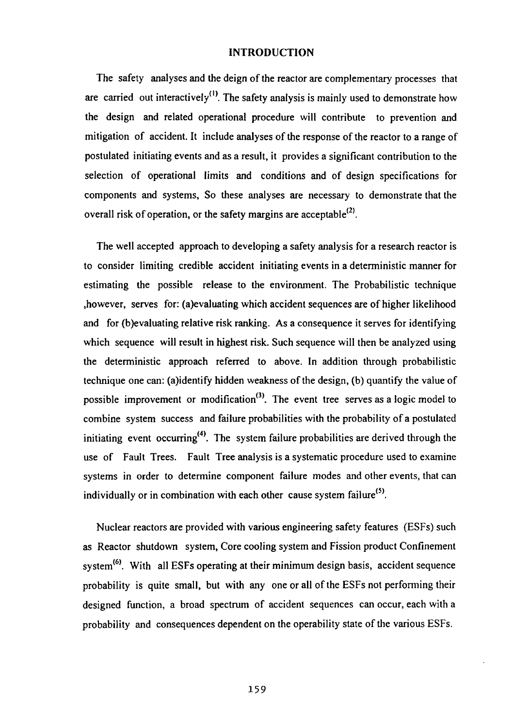#### **INTRODUCTION**

The safety analyses and the deign of the reactor are complementary processes that are carried out interactively<sup>(1)</sup>. The safety analysis is mainly used to demonstrate how the design and related operational procedure will contribute to prevention and mitigation of accident. It include analyses of the response of the reactor to a range of postulated initiating events and as a result, it provides a significant contribution to the selection of operational limits and conditions and of design specifications for components and systems, So these analyses are necessary to demonstrate that the overall risk of operation, or the safety margins are acceptable<sup>(2)</sup>.

The well accepted approach to developing a safety analysis for a research reactor is to consider limiting credible accident initiating events in a deterministic manner for estimating the possible release to the environment. The Probabilistic technique ,however, serves for: (a)evaluating which accident sequences are of higher likelihood and for (b)evaluating relative risk ranking. As a consequence it serves for identifying which sequence will result in highest risk. Such sequence will then be analyzed using the deterministic approach referred to above. In addition through probabilistic technique one can: (a)identify hidden weakness of the design, (b) quantify the value of possible improvement or modification<sup>(3)</sup>. The event tree serves as a logic model to combine system success and failure probabilities with the probability of a postulated initiating event occurring<sup>(4)</sup>. The system failure probabilities are derived through the use of Fault Trees. Fault Tree analysis is a systematic procedure used to examine systems in order to determine component failure modes and other events, that can individually or in combination with each other cause system failure<sup>(5)</sup>.

Nuclear reactors are provided with various engineering safety features (ESFs) such as Reactor shutdown system, Core cooling system and Fission product Confinement system<sup>(6)</sup>. With all ESFs operating at their minimum design basis, accident sequence probability is quite small, but with any one or all of the ESFs not performing their designed function, a broad spectrum of accident sequences can occur, each with a probability and consequences dependent on the operability state of the various ESFs.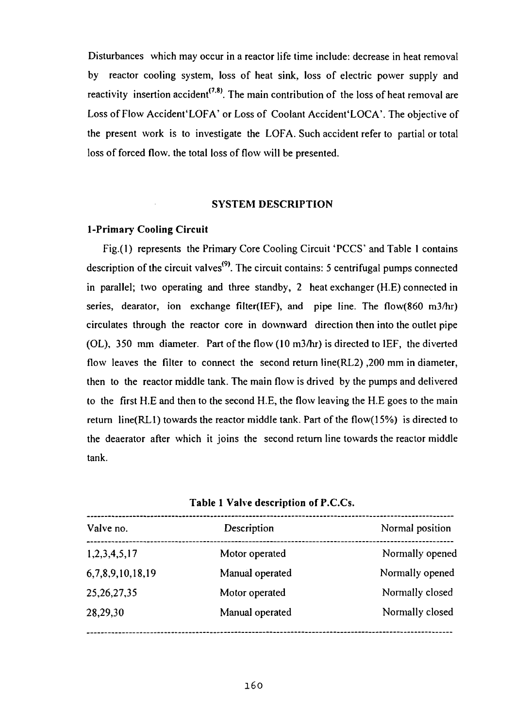Disturbances which may occur in a reactor life time include: decrease in heat removal by reactor cooling system, loss of heat sink, loss of electric power supply and *reactivity* insertion accident<sup> $(7.8)$ </sup>. The main contribution of the loss of heat removal are Loss of Flow Accident 'LOFA' or Loss of Coolant Accident 'LOCA'. The objective of the present work is to investigate the LOFA. Such accident refer to partial or total loss of forced flow, the total loss of flow will be presented.

#### **SYSTEM DESCRIPTION**

## **1-Primary Cooling Circuit**

Fig.(l) represents the Primary Core Cooling Circuit 'PCCS' and Table 1 contains description of the circuit valves<sup>(9)</sup>. The circuit contains: 5 centrifugal pumps connected in parallel; two operating and three standby, 2 heat exchanger (H.E) connected in series, dearator, ion exchange filter(IEF), and pipe line. The flow(860 m3/hr) circulates through the reactor core in downward direction then into the outlet pipe (OL), 350 mm diameter. Part of the flow (10 m3/hr) is directed to IEF, the diverted flow leaves the filter to connect the second return line(RL2) ,200 mm in diameter, then to the reactor middle tank. The main flow is drived by the pumps and delivered to the first H.E and then to the second H.E, the flow leaving the H.E goes to the main return line(RL1) towards the reactor middle tank. Part of the flow(15%) is directed to the deaerator after which it joins the second return line towards the reactor middle tank.

**Table 1 Valve description of** P.C.Cs.

| Valve no.        | Description     | Normal position |  |
|------------------|-----------------|-----------------|--|
| 1,2,3,4,5,17     | Motor operated  | Normally opened |  |
| 6,7,8,9,10,18,19 | Manual operated | Normally opened |  |
| 25, 26, 27, 35   | Motor operated  | Normally closed |  |
| 28,29,30         | Manual operated | Normally closed |  |
|                  |                 |                 |  |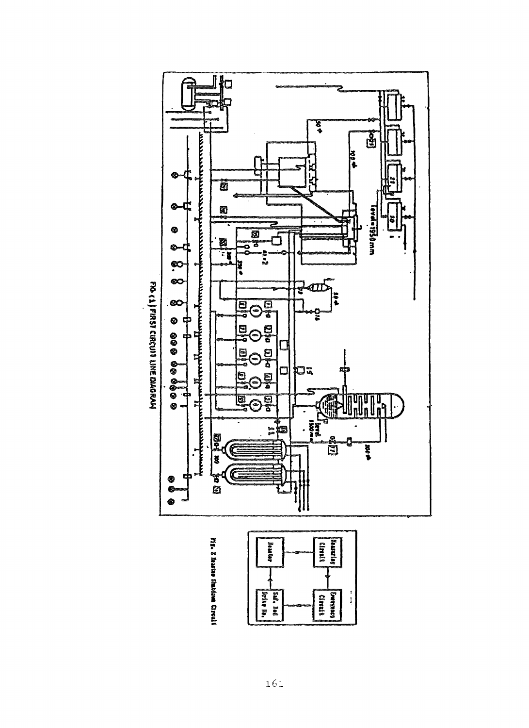

FIG < 1) FIRST CIRCUIT LINE DIAGRAN

Ms. & Baster Shatdom Circult

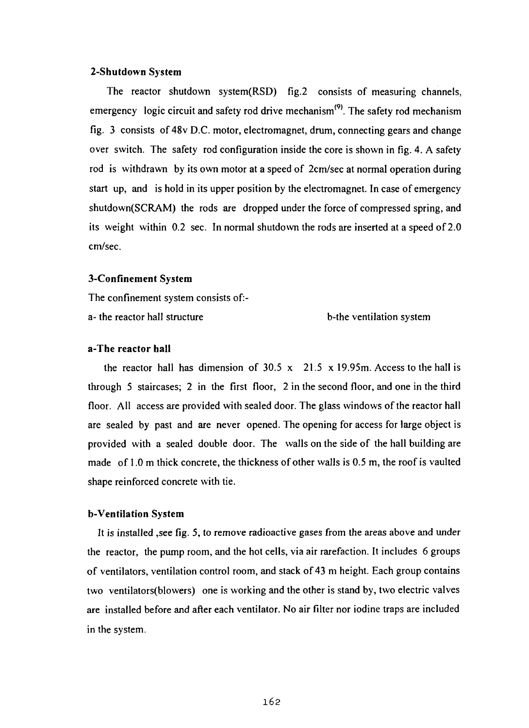### **2-Shutdown System**

The reactor shutdown system(RSD) fig.2 consists of measuring channels, emergency logic circuit and safety rod drive mechanism<sup>(9)</sup>. The safety rod mechanism fig. 3 consists of 48v D.C. motor, electromagnet, drum, connecting gears and change over switch. The safety rod configuration inside the core is shown in fig. 4. A safety rod is withdrawn by its own motor at a speed of 2cm/sec at normal operation during start up, and is hold in its upper position by the electromagnet. In case of emergency shutdown(SCRAM) the rods are dropped under the force of compressed spring, and its weight within 0.2 sec. In normal shutdown the rods are inserted at a speed of 2.0 cm/sec.

#### **3-Confinement System**

The confinement system consists of:-

a- the reactor hall structure b-the ventilation system

### **a-The reactor hall**

the reactor hall has dimension of  $30.5 \times 21.5 \times 19.95$ m. Access to the hall is through 5 staircases; 2 in the first floor, 2 in the second floor, and one in the third floor. All access are provided with sealed door. The glass windows of the reactor hall are sealed by past and are never opened. The opening for access for large object is provided with a sealed double door. The walls on the side of the hall building are made of 1.0 m thick concrete, the thickness of other walls is 0.5 m, the roof is vaulted shape reinforced concrete with tie.

## **b-Ventilation** System

It is installed ,see fig. 5, to remove radioactive gases from the areas above and under the reactor, the pump room, and the hot cells, via air rarefaction. It includes 6 groups of ventilators, ventilation control room, and stack of 43 m height. Each group contains two ventilators(blowers) one is working and the other is stand by, two electric valves are installed before and after each ventilator. No air filter nor iodine traps are included in the system.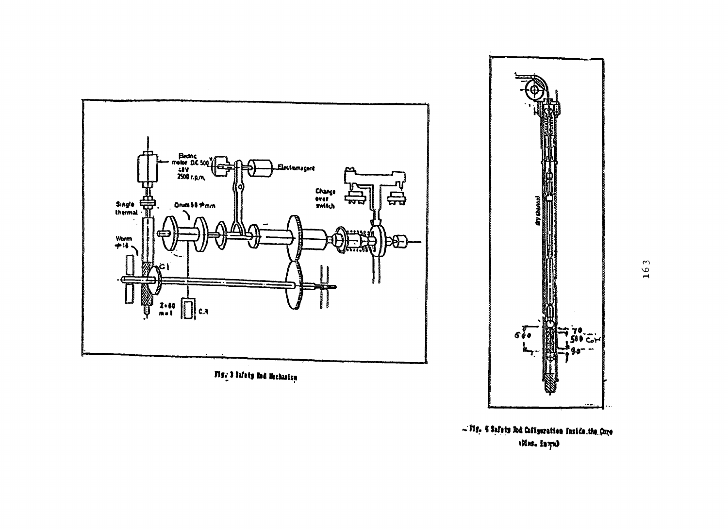

Fig. 3 Safety Red Mechanism



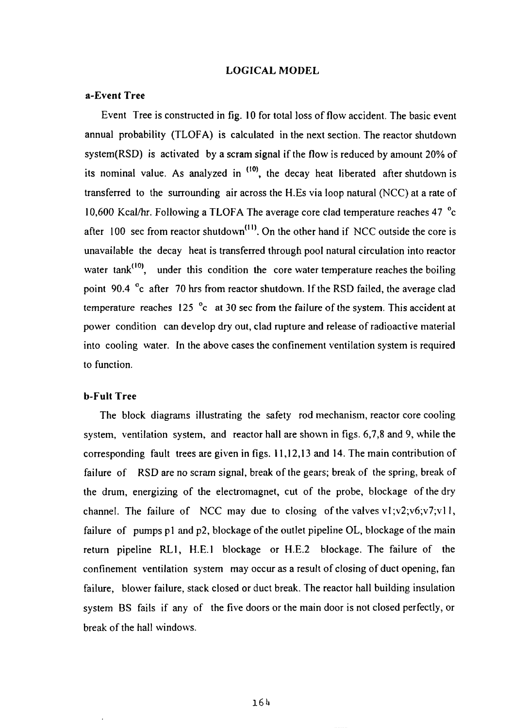#### **LOGICAL MODEL**

### **a-Event Tree**

Event Tree is constructed in fig. 10 for total loss of flow accident. The basic event annual probability (TLOFA) is calculated in the next section. The reactor shutdown system(RSD) is activated by a scram signal if the flow is reduced by amount 20% of its nominal value. As analyzed in <sup>(10)</sup>, the decay heat liberated after shutdown is transferred to the surrounding air across the H.Es via loop natural (NCC) at a rate of 10,600 Kcal/hr. Following a TLOFA The average core clad temperature reaches 47  $^{\circ}$ c after  $100$  sec from reactor shutdown<sup> $(11)$ </sup>. On the other hand if NCC outside the core is unavailable the decay heat is transferred through pool natural circulation into reactor water tank<sup>(10)</sup>, under this condition the core water temperature reaches the boiling point 90.4  $\degree$ c after 70 hrs from reactor shutdown. If the RSD failed, the average clad temperature reaches 125  $^{\circ}$ c at 30 sec from the failure of the system. This accident at power condition can develop dry out, clad rupture and release of radioactive material into cooling water. In the above cases the confinement ventilation system is required to function.

### **b-Fult Tree**

The block diagrams illustrating the safety rod mechanism, reactor core cooling system, ventilation system, and reactor hall are shown in figs. 6,7,8 and 9, while the corresponding fault trees are given in figs. 11,12,13 and 14. The main contribution of failure of RSD are no scram signal, break of the gears; break of the spring, break of the drum, energizing of the electromagnet, cut of the probe, blockage of the dry channel. The failure of NCC may due to closing of the valves vl;v2;v6;v7;vl 1, failure of pumps p1 and p2, blockage of the outlet pipeline OL, blockage of the main return pipeline RL1, H.E.I blockage or H.E.2 blockage. The failure of the confinement ventilation system may occur as a result of closing of duct opening, fan failure, blower failure, stack closed or duct break. The reactor hall building insulation system BS fails if any of the five doors or the main door is not closed perfectly, or break of the hall windows.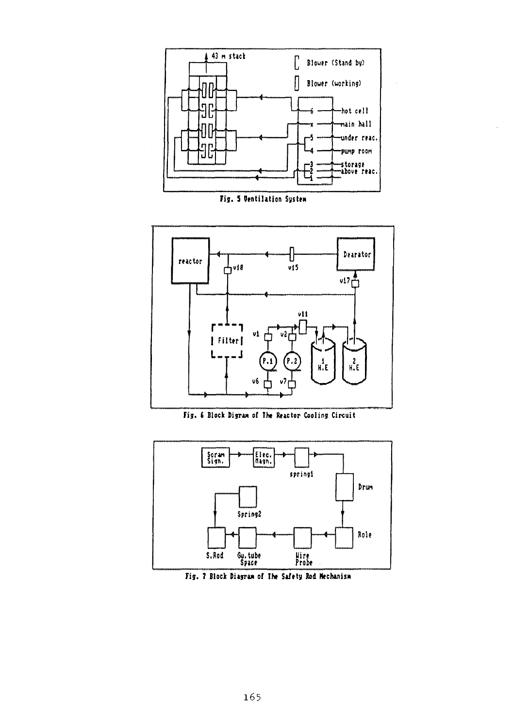

Fig. 5 Ventilation System



Fig. 6 Block Digram of The Reactor Cooling Circuit



Fig. 7 Block Diagram of The Safety Rod Mechanism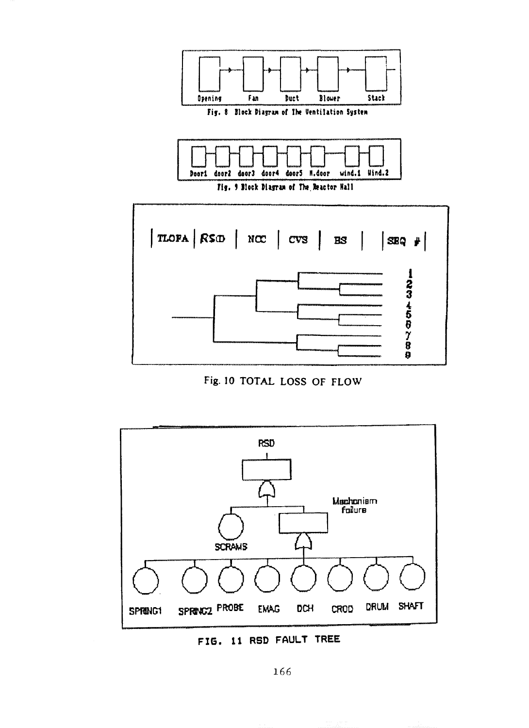

Fig. 10 TOTAL LOSS OF FLOW



FIG. 11 RSD FAULT TREE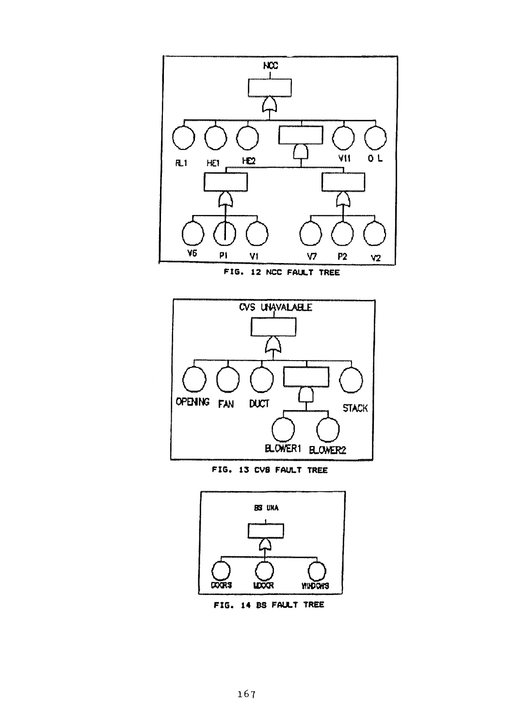

FIG. 12 NCC FAULT TREE



FIG. 13 CVS FAULT TREE



FIG. 14 BS FAULT TREE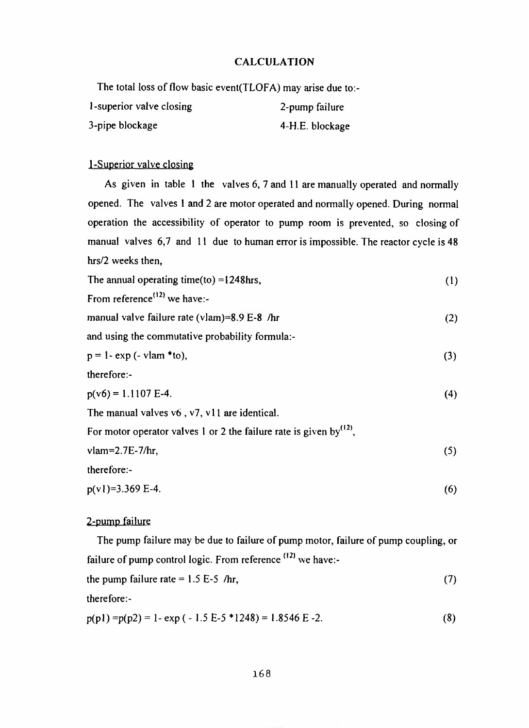# CALCULATION

The total loss of flow basic event(TLOFA) may arise due to:-

| 1-superior valve closing | 2-pump failure  |
|--------------------------|-----------------|
| 3-pipe blockage          | 4-H.E. blockage |

# 1-Superior valve closing

As given in table 1 the valves 6, 7 and 11 are manually operated and normally opened. The valves 1 and 2 are motor operated and normally opened. During normal operation the accessibility of operator to pump room is prevented, so closing of manual valves 6,7 and 11 due to human error is impossible. The reactor cycle is 48 hrs/2 weeks then,

| The annual operating time(to) = $1248$ hrs,                                     | (1) |
|---------------------------------------------------------------------------------|-----|
| From reference <sup><math>(12)</math></sup> we have:-                           |     |
| manual valve failure rate (vlam)=8.9 E-8 /hr                                    | (2) |
| and using the commutative probability formula:-                                 |     |
| $p = 1 - exp(-vlam * to),$                                                      | (3) |
| therefore:-                                                                     |     |
| $p(v6) = 1.1107$ E-4.                                                           | (4) |
| The manual valves $v6$ , $v7$ , $v11$ are identical.                            |     |
| For motor operator valves 1 or 2 the failure rate is given by <sup>(12)</sup> , |     |
| $vlam=2.7E-7/hr$ ,                                                              | (5) |
| therefore:-                                                                     |     |
| $p(v1)=3.369$ E-4.                                                              | (6) |

# 2-pump failure

The pump failure may be due to failure of pump motor, failure of pump coupling, or failure of pump control logic. From reference <sup>(12)</sup> we have:the pump failure rate =  $1.5 E-5$  /hr, (7) therefore:-

$$
p(p1) = p(p2) = 1 - \exp(-1.5 E - 5 \cdot 1248) = 1.8546 E - 2.
$$
 (8)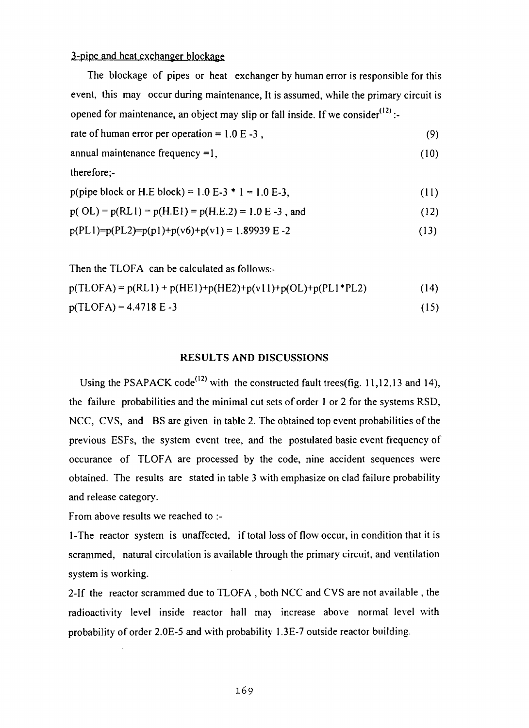# 3-pipe and heat exchanger blockage

The blockage of pipes or heat exchanger by human error is responsible for this event, this may occur during maintenance, It is assumed, while the primary circuit is opened for maintenance, an object may slip or fall inside. If we consider $^{(12)}$ :-

rate of human error per operation =  $1.0 E - 3$ , (9)

$$
annual maintenance frequency = 1, \tag{10}
$$

therefore ;-

| p(pipe block or H.E block) = $1.0 E-3 \cdot 1 = 1.0 E-3$ , | (11) |
|------------------------------------------------------------|------|
|------------------------------------------------------------|------|

$$
p(OL) = p(RL1) = p(H.E1) = p(H.E.2) = 1.0 E - 3
$$
, and (12)

$$
p(PL1)=p(PL2)=p(p1)+p(v6)+p(v1)=1.89939 E-2
$$
\n(13)

Then the TLOFA can be calculated as follows.-

 $p(TLOFA) = p(RL1) + p(HE1) + p(HE2) + p(v11) + p(OL) + p(PL1*PL2)$  (14)

 $p(TLOFA) = 4.4718 E - 3$  (15)

#### **RESULTS AND DISCUSSIONS**

Using the PSAPACK code<sup>(12)</sup> with the constructed fault trees(fig. 11,12,13 and 14), the failure probabilities and the minimal cut sets of order 1 or 2 for the systems RSD, NCC, CVS, and BS are given in table 2. The obtained top event probabilities of the previous ESFs, the system event tree, and the postulated basic event frequency of occurance of TLOFA are processed by the code, nine accident sequences were obtained. The results are stated in table 3 with emphasize on clad failure probability and release category.

From above results we reached to :-

1-The reactor system is unaffected, if total loss of flow occur, in condition that it is scrammed, natural circulation is available through the primary circuit, and ventilation system is working.

2-If the reactor scrammed due to TLOFA , both NCC and CVS are not available , the radioactivity level inside reactor hall may increase above normal level with probability of order 2.0E-5 and with probability 1.3E-7 outside reactor building.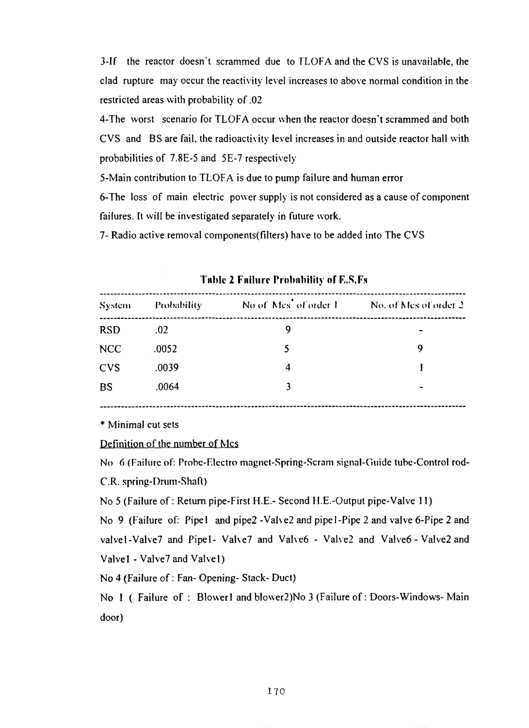3-If the reactor doesn't scrammed due to TLOFA and the CVS is unavailable, the clad rupture may occur the reactivity level increases to above normal condition in the restricted areas with probability of .02

4-The worst scenario for TLOFA occur when the reactor doesn't scrammed and both CVS and BS are fail, the radioactivity level increases in and outside reactor hall with probabilities of 7.8E-5 and 5E-7 respectively

5-Main contribution to TLOFA is due to pump failure and human error

6-The loss of main electric power supply is not considered as a cause of component failures. It will be investigated separately in future work.

7- Radio active removal components(filters) have to be added into The CVS

| System     | <b>Probability</b> | No of Mes <sup>t</sup> of order 1 | No. of Mes of order 2. |
|------------|--------------------|-----------------------------------|------------------------|
| <b>RSD</b> | .02                | 9                                 |                        |
| <b>NCC</b> | .0052              | 5                                 | 9                      |
| <b>CVS</b> | .0039              | 4                                 |                        |
| <b>BS</b>  | .0064              | 3                                 | ۰                      |

**Tnhlc 2 Failure Probability of F,.S.Fs**

\* Minimal cut sets

### Definition of the number of Mcs

No 6 (Failure of: Probe-Electro magnet-Spring-Scram signal-Guide tube-Control rod-C.R. spring-Drum-Shaft)

No 5 (Failure of: Return pipe-First H.E.- Second H.E.-Output pipe-Valve 11)

No 9 (Failure of: Pipel and pipe2 -Valve2 and pipe 1-Pipe 2 and valve 6-Pipe 2 and valvel-Valve7 and Pipel- Valve7 and Valve6 - Valve2 and Valve6 - Valve2 and Valve1 - Valve7 and Valve1)

No 4 (Failure of: Fan- Opening- Stack- Duct)

No 1 ( Failure of: Blower1 and blower2)No 3 (Failure of: Doors-Windows-Main door)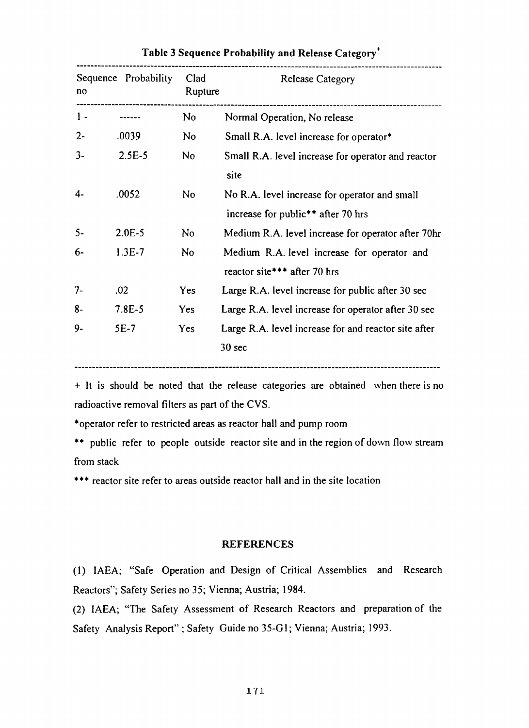| no    | Sequence Probability | Clad<br>Rupture | <b>Release Category</b>                              |
|-------|----------------------|-----------------|------------------------------------------------------|
| $1 -$ |                      | No              | Normal Operation, No release                         |
| $2 -$ | .0039                | N <sub>o</sub>  | Small R.A. level increase for operator*              |
| $3-$  | $2.5E-5$             | N <sub>o</sub>  | Small R.A. level increase for operator and reactor   |
|       |                      |                 | site                                                 |
| 4-    | .0052                | No.             | No R.A. level increase for operator and small        |
|       |                      |                 | increase for public <sup>**</sup> after 70 hrs       |
| $5 -$ | $2.0E-5$             | No              | Medium R.A. level increase for operator after 70hr   |
| 6-    | $1.3E-7$             | N <sub>o</sub>  | Medium R.A. level increase for operator and          |
|       |                      |                 | reactor site*** after 70 hrs                         |
| $7 -$ | .02                  | <b>Yes</b>      | Large R.A. level increase for public after 30 sec    |
| 8-    | $7.8E - 5$           | Yes             | Large R.A. level increase for operator after 30 sec  |
| 9-    | 5E-7                 | Yes             | Large R.A. level increase for and reactor site after |
|       |                      |                 | 30 sec                                               |

# **Table 3 Sequence Probability and** Release Category\*

+ It is should be noted that the release categories are obtained when there is no radioactive removal filters as part of the CVS.

\*operator refer to restricted areas as reactor hall and pump room

\*\* public refer to people outside reactor site and in the region of down flow stream from stack

\*\*\* reactor site refer to areas outside reactor hall and in the site location

#### **REFERENCES**

(1) IAEA; "Safe Operation and Design of Critical Assemblies and Research Reactors"; Safety Series no 35; Vienna; Austria; 1984.

(2) IAEA; "The Safety Assessment of Research Reactors and preparation of the Safety Analysis Report" ; Safety Guide no 35-G1; Vienna; Austria; 1993.